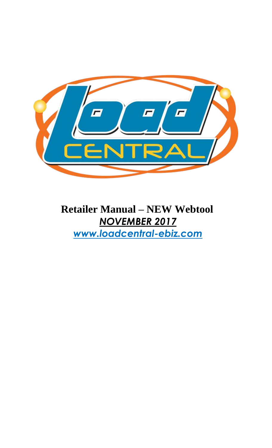

**Retailer Manual – NEW Webtool** *NOVEMBER 2017 www.loadcentral-ebiz.com*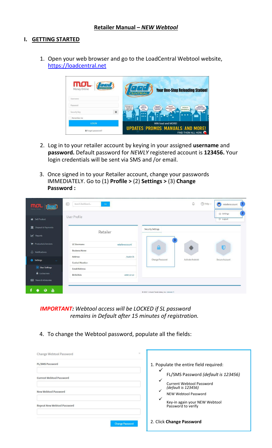#### **I. GETTING STARTED**

1. Open your web browser and go to the LoadCentral Webtool website, [https://loadcentral.net](https://loadcentral.net/)

| <b>MOL</b> <i>food</i><br>Money Online<br>Username | G<br><b>Your One-Stop Reloading Station!</b><br><b>ENTRA</b>                                                                                                                  |
|----------------------------------------------------|-------------------------------------------------------------------------------------------------------------------------------------------------------------------------------|
| Password                                           | load sa<br>kelangan ko<br>load par<br>Load para<br><b>WAAAH</b><br>lead para sa<br><b>SATELLITE</b><br>ng load sa<br>makausao mga<br><b>SAMERALCO</b><br><b>WALA NA AKONO</b> |
| $\ddot{\mathbf{e}}$<br>Security Key                | mahal ko sa abroad<br>LARO KOL<br>ROOMDRAND<br>prepaid ko.<br>TV ko.<br>LOAD!<br>                                                                                             |
| Remember me                                        | <br>-                                                                                                                                                                         |
| LOGIN                                              | WIN load and MORE!                                                                                                                                                            |
| Forgot password?                                   | <b>UPDATES PROMOS MANUALS AND MORE!</b><br>FIND THEM ALL HERE.                                                                                                                |

- 2. Log in to your retailer account by keying in your assigned **username** and **password.** Default password for *NEWLY* registered account is **123456.** Your login credentials will be sent via SMS and /or email.
- 3. Once signed in to your Retailer account, change your passwords IMMEDIATELY. Go to (1) **Profile >** (2) **Settings >** (3) **Change Password :**

| $mol$ ( <i>for</i> )                                                    | $\odot$<br>Search dashboard<br>Go                             | $\circledR$ Help $\vee$<br>₽                 | ۰<br>retaileraccount                                |
|-------------------------------------------------------------------------|---------------------------------------------------------------|----------------------------------------------|-----------------------------------------------------|
| Sell Product                                                            | <b>User Profile</b>                                           |                                              | $\overline{2}$<br>8 Settings<br><sup>D</sup> Logout |
| Deposit & Payments<br>血<br>M Reports                                    | Retailer                                                      | <b>Security Settings</b>                     |                                                     |
| Products & Services<br>$\bigcirc$ Notifications                         | <b>LC Username</b><br>retaileraccount<br><b>Business Name</b> | 3<br>$\Omega$                                | Ū                                                   |
| Settings<br>$\sim$                                                      | <b>Address</b><br>Austin St<br><b>Contact Number</b>          | <b>Change Password</b><br>Activate Android   | Secure Account                                      |
| User Settings<br><b>B</b> Lockscreen                                    | <b>Email Address</b><br><b>Birth Date</b><br>1988-10-10       |                                              |                                                     |
| <b>II</b> News & Advisories<br>$\sum_{i=1}^{N_{\text{CH}}}$<br>$\Omega$ |                                                               | @ 2017. Uniwiz Trade Sales, Inc. Uniwiz I.T. |                                                     |

*IMPORTANT: Webtool access will be LOCKED if SL password remains in Default after 15 minutes of registration.*

4. To change the Webtool password, populate all the fields:

| $>\,$<br>Change Webtool Password                                                                                               |                                                                                                                                                                                                                        |
|--------------------------------------------------------------------------------------------------------------------------------|------------------------------------------------------------------------------------------------------------------------------------------------------------------------------------------------------------------------|
| <b>FL/SMS Password</b><br><b>Current Webtool Password</b><br><b>New Webtool Password</b><br><b>Repeat New Webtool Password</b> | 1. Populate the entire field required:<br>FL/SMS Password (default is 123456)<br><b>Current Webtool Password</b><br>(default is 123456)<br>NEW Webtool Password<br>Key-in again your NEW Webtool<br>Password to verify |
| <b>Change Password</b>                                                                                                         | 2. Click Change Password                                                                                                                                                                                               |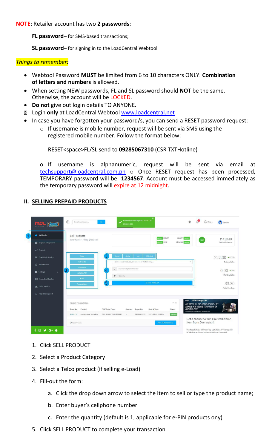**NOTE**: Retailer account has two **2 passwords**:

**FL password**– for SMS-based transactions;

**SL password**– for signing in to the LoadCentral Webtool

### *Things to remember:*

- Webtool Password **MUST** be limited from 6 to 10 characters ONLY. **Combination of letters and numbers** is allowed.
- When setting NEW passwords, FL and SL password should **NOT** be the same. Otherwise, the account will be LOCKED.
- **Do not** give out login details TO ANYONE.
- Login **only** at LoadCentral Webtool [www.loadcentral.net](http://www.loadcentral.net/)
- In case you have forgotten your password/s, you can send a RESET password request:
	- o If username is mobile number, request will be sent via SMS using the registered mobile number. Follow the format below:

RESET<space>FL/SL send to **09285067310** (CSR TXTHotline)

o If username is alphanumeric, request will be sent via email at [techsupport@loadcentral.com.ph](mailto:techsupport@loadcentral.com.ph) o Once RESET request has been processed, TEMPORARY password will be **1234567**. Account must be accessed immediately as the temporary password will expire at 12 midnight.

#### e Search dashboard...  $\bullet$  $\bigcirc$  Help  $\vee$ Sandro  $\mathbf{D}$   $\mathbf{D}$ Sell Product Sell Products P419.40 0.2017 | Friday 2 13:27:57  $\overline{\mathbf{m}}$  Deposit & Pay **Wallet Bala** Products & Services 222.00 \*\*\*\*\*\*\* Today's Sales  $\begin{array}{c} \square \end{array}$  $0.00 - 23%$ Monthly Sales 33.30 **Ill** Sales Metrics Help and Support Recent Transactions Status 11651170 LoadCentral Test ePIN PIN1 123687 PIN2 654552  $\,1\,$ 09089914225 2017-06-09 13:25:54 **SUCCESS** Get a chance to Win Limited Edition O Last 24 hours Item from Overwatch!  $f \circ g$  of  $\bullet$ .<br>Purchase Battle.net Pins or Top-up Battle.net Balance with<br>MOLPoints and stand a chance to win an Overwatch

# **II. SELLING PREPAID PRODUCTS**

- 1. Click SELL PRODUCT
- 2. Select a Product Category
- 3. Select a Telco product (if selling e-Load)
- 4. Fill-out the form:
	- a. Click the drop down arrow to select the item to sell or type the product name;
	- b. Enter buyer's cellphone number
	- c. Enter the quantity (default is 1; applicable for e-PIN products ony)
- 5. Click SELL PRODUCT to complete your transaction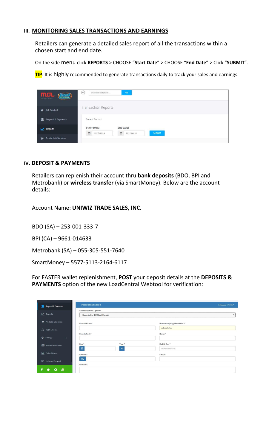#### **III. MONITORING SALES TRANSACTIONS AND EARNINGS**

Retailers can generate a detailed sales report of all the transactions within a chosen start and end date.

On the side menu click **REPORTS** > CHOOSE "**Start Date**" > CHOOSE "**End Date**" > Click "**SUBMIT**".

**TIP**: It is highly recommended to generate transactions daily to track your sales and earnings.

| mol<br><b>ELECT</b><br>Money Online | $\odot$<br>Go<br>Search dashboard                                                             |
|-------------------------------------|-----------------------------------------------------------------------------------------------|
| Sell Product<br>眷                   | Transaction Reports                                                                           |
| Deposit & Payments<br>面             | Select Period:                                                                                |
| Reports<br>w                        | <b>START DATE:</b><br><b>END DATE:</b><br>酋<br>曲<br><b>SUBMIT</b><br>2017-06-14<br>2017-06-14 |
| Products & Services                 |                                                                                               |

#### **IV. DEPOSIT & PAYMENTS**

Retailers can replenish their account thru **bank deposits** (BDO, BPI and Metrobank) or **wireless transfer** (via SmartMoney). Below are the account details:

Account Name: **UNIWIZ TRADE SALES, INC.**

BDO (SA) – 253-001-333-7

BPI (CA) – 9661-014633

Metrobank (SA) – 055-305-551-7640

SmartMoney – 5577-5113-2164-6117

For FASTER wallet replenishment, **POST** your deposit details at the **DEPOSITS & PAYMENTS** option of the new LoadCentral Webtool for verification:

| Post Deposit Details<br>Deposit & Payments<br>ш                     |                                 |                             | February 17, 2017 |
|---------------------------------------------------------------------|---------------------------------|-----------------------------|-------------------|
| Select Payment Option*                                              |                                 |                             |                   |
| Reports                                                             | Banco de Oro (BDO Cash Deposit) |                             | $\cdot$           |
| Products & Services<br>Branch Name*                                 |                                 | Username / Registered No. * |                   |
| $\Delta$<br>Notifications                                           |                                 | subdealertest               |                   |
| Branch Code*<br>۰<br>Settings<br>$\left\langle \cdot \right\rangle$ |                                 | Name*                       |                   |
| Date*<br>News & Advisories                                          | Time*                           | Mobile No.*                 |                   |
| 一篇                                                                  | $\circ$                         | Ex: 639123456789            |                   |
| $ $ dıl<br>Sales Metrics<br>Amount*                                 |                                 | Email*                      |                   |
| Php<br>Help and Support                                             |                                 |                             |                   |
| Remarks                                                             |                                 |                             |                   |
| 畵<br>Q<br>m                                                         |                                 |                             | $\mathbb{R}^2$    |